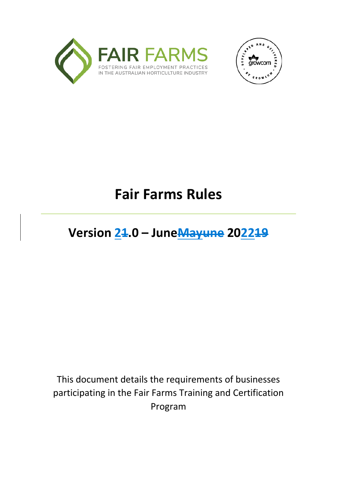



# **Fair Farms Rules**

## **Version 21.0 – JuneMayune 202219**

This document details the requirements of businesses participating in the Fair Farms Training and Certification Program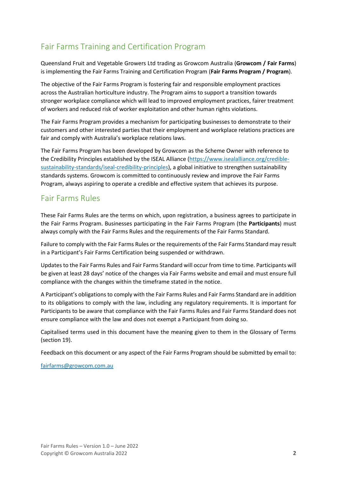## <span id="page-1-0"></span>Fair Farms Training and Certification Program

Queensland Fruit and Vegetable Growers Ltd trading as Growcom Australia (**Growcom / Fair Farms**) is implementing the Fair Farms Training and Certification Program (**Fair Farms Program / Program**).

The objective of the Fair Farms Program is fostering fair and responsible employment practices across the Australian horticulture industry. The Program aims to support a transition towards stronger workplace compliance which will lead to improved employment practices, fairer treatment of workers and reduced risk of worker exploitation and other human rights violations.

The Fair Farms Program provides a mechanism for participating businesses to demonstrate to their customers and other interested parties that their employment and workplace relations practices are fair and comply with Australia's workplace relations laws.

The Fair Farms Program has been developed by Growcom as the Scheme Owner with reference to the Credibility Principles established by the ISEAL Alliance [\(https://www.isealalliance.org/credible](https://www.isealalliance.org/credible-sustainability-standards/iseal-credibility-principles)[sustainability-standards/iseal-credibility-principles\)](https://www.isealalliance.org/credible-sustainability-standards/iseal-credibility-principles), a global initiative to strengthen sustainability standards systems. Growcom is committed to continuously review and improve the Fair Farms Program, always aspiring to operate a credible and effective system that achieves its purpose.

## <span id="page-1-1"></span>Fair Farms Rules

These Fair Farms Rules are the terms on which, upon registration, a business agrees to participate in the Fair Farms Program. Businesses participating in the Fair Farms Program (the **Participants**) must always comply with the Fair Farms Rules and the requirements of the Fair Farms Standard.

Failure to comply with the Fair Farms Rules or the requirements of the Fair Farms Standard may result in a Participant's Fair Farms Certification being suspended or withdrawn.

Updates to the Fair Farms Rules and Fair Farms Standard will occur from time to time. Participants will be given at least 28 days' notice of the changes via Fair Farms website and email and must ensure full compliance with the changes within the timeframe stated in the notice.

A Participant's obligations to comply with the Fair Farms Rules and Fair Farms Standard are in addition to its obligations to comply with the law, including any regulatory requirements. It is important for Participants to be aware that compliance with the Fair Farms Rules and Fair Farms Standard does not ensure compliance with the law and does not exempt a Participant from doing so.

Capitalised terms used in this document have the meaning given to them in the Glossary of Terms (section 19).

Feedback on this document or any aspect of the Fair Farms Program should be submitted by email to:

[fairfarms@growcom.com.au](mailto:fairfarms@growcom.com.au)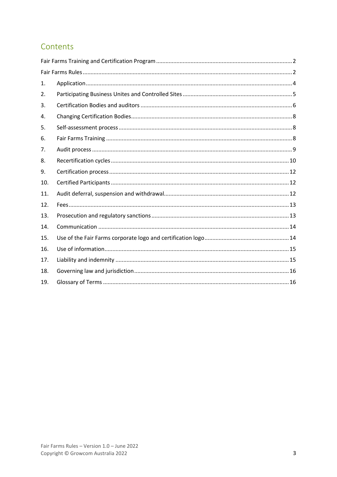## Contents

| 1.  |  |
|-----|--|
| 2.  |  |
| 3.  |  |
| 4.  |  |
| 5.  |  |
| 6.  |  |
| 7.  |  |
| 8.  |  |
| 9.  |  |
| 10. |  |
| 11. |  |
| 12. |  |
| 13. |  |
| 14. |  |
| 15. |  |
| 16. |  |
| 17. |  |
| 18. |  |
| 19. |  |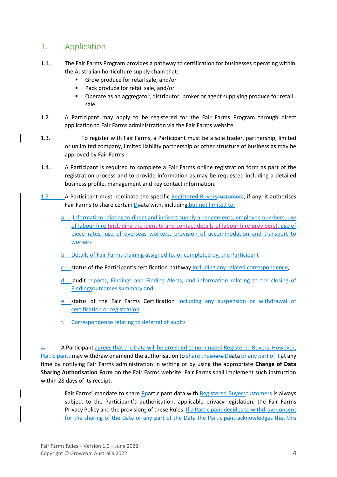## <span id="page-3-0"></span>1. Application

- 1.1. The Fair Farms Program provides a pathway to certification for businesses operating within the Australian horticulture supply chain that:
	- Grow produce for retail sale, and/or
	- Pack produce for retail sale, and/or
	- Operate as an aggregator, distributor, broker or agent supplying produce for retail sale.
- 1.2. A Participant may apply to be registered for the Fair Farms Program through direct application to Fair Farms administration via the Fair Farms website.
- 1.3. To register with Fair Farms, a Participant must be a sole trader, partnership, limited or unlimited company, limited liability partnership or other structure of business as may be approved by Fair Farms.
- 1.4. A Participant is required to complete a Fair Farms online registration form as part of the registration process and to provide information as may be requested including a detailed business profile, management and key contact information.
- 1.5. A Participant must nominate the specific Registered Buyerseustomers, if any, it authorises Fair Farms to share certain Deata with, including but not limited to:
	- a. Information relating to direct and indirect supply arrangements, employee numbers, use of labour hire (including the identity and contact details of labour hire providers), use of piece rates, use of overseas workers, provision of accommodation and transport to workers
	- b. Details of Fair Farms training assigned to, or completed by, the Participant
	- c. status of the Participant's certification pathway including any related correspondence,
	- d. -audit reports, Findings and Finding Alerts, and information relating to the closing of Findingsoutcomes summary and
	- e. status of the Fair Farms Certification including any suspension or withdrawal of certification or registration.
	- f. Correspondence relating to deferral of audits

a. A Participant agrees that the Data will be provided to nominated Registered Buyers. However, Participants may withdraw or amend the authorisation to share theshare Delata or any part of it at any time by notifying Fair Farms administration in writing or by using the appropriate **Change of Data Sharing Authorisation Form** on the Fair Farms website. Fair Farms shall implement such instruction within 28 days of its receipt.

Fair Farms' mandate to share Pparticipant data with Registered Buyerscustomers is always subject to the Participant's authorisation, applicable privacy legislation, the Fair Farms Privacy Policy and the provisions of these Rules. If a Participant decides to withdraw consent for the sharing of the Data or any part of the Data the Participant acknowledges that this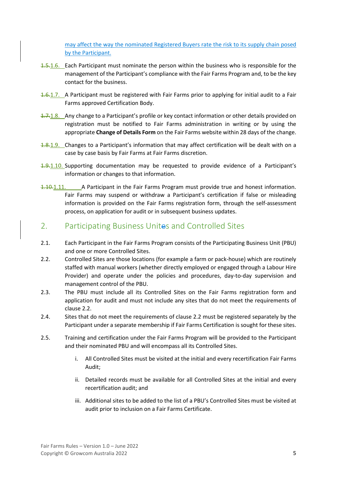may affect the way the nominated Registered Buyers rate the risk to its supply chain posed by the Participant.

- 1.5.1.6. Each Participant must nominate the person within the business who is responsible for the management of the Participant's compliance with the Fair Farms Program and, to be the key contact for the business.
- 1.6.1.7. A Participant must be registered with Fair Farms prior to applying for initial audit to a Fair Farms approved Certification Body.
- 1.7.1.8. Any change to a Participant's profile or key contact information or other details provided on registration must be notified to Fair Farms administration in writing or by using the appropriate **Change of Details Form** on the Fair Farms website within 28 days of the change.
- 1.8.1.9. Changes to a Participant's information that may affect certification will be dealt with on a case by case basis by Fair Farms at Fair Farms discretion.
- 1.9.1.10. Supporting documentation may be requested to provide evidence of a Participant's information or changes to that information.
- 1.10.1.11. A Participant in the Fair Farms Program must provide true and honest information. Fair Farms may suspend or withdraw a Participant's certification if false or misleading information is provided on the Fair Farms registration form, through the self-assessment process, on application for audit or in subsequent business updates.

## <span id="page-4-0"></span>2. Participating Business Unites and Controlled Sites

- 2.1. Each Participant in the Fair Farms Program consists of the Participating Business Unit (PBU) and one or more Controlled Sites.
- 2.2. Controlled Sites are those locations (for example a farm or pack-house) which are routinely staffed with manual workers (whether directly employed or engaged through a Labour Hire Provider) and operate under the policies and procedures, day-to-day supervision and management control of the PBU.
- 2.3. The PBU must include all its Controlled Sites on the Fair Farms registration form and application for audit and must not include any sites that do not meet the requirements of clause 2.2.
- 2.4. Sites that do not meet the requirements of clause 2.2 must be registered separately by the Participant under a separate membership if Fair Farms Certification is sought for these sites.
- 2.5. Training and certification under the Fair Farms Program will be provided to the Participant and their nominated PBU and will encompass all its Controlled Sites.
	- i. All Controlled Sites must be visited at the initial and every recertification Fair Farms Audit;
	- ii. Detailed records must be available for all Controlled Sites at the initial and every recertification audit; and
	- iii. Additional sites to be added to the list of a PBU's Controlled Sites must be visited at audit prior to inclusion on a Fair Farms Certificate.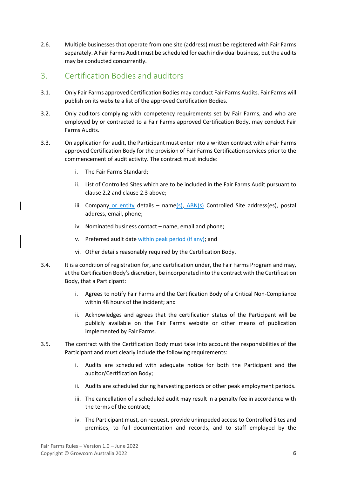2.6. Multiple businesses that operate from one site (address) must be registered with Fair Farms separately. A Fair Farms Audit must be scheduled for each individual business, but the audits may be conducted concurrently.

## <span id="page-5-0"></span>3. Certification Bodies and auditors

- 3.1. Only Fair Farms approved Certification Bodies may conduct Fair Farms Audits. Fair Farms will publish on its website a list of the approved Certification Bodies.
- 3.2. Only auditors complying with competency requirements set by Fair Farms, and who are employed by or contracted to a Fair Farms approved Certification Body, may conduct Fair Farms Audits.
- 3.3. On application for audit, the Participant must enter into a written contract with a Fair Farms approved Certification Body for the provision of Fair Farms Certification services prior to the commencement of audit activity. The contract must include:
	- i. The Fair Farms Standard;
	- ii. List of Controlled Sites which are to be included in the Fair Farms Audit pursuant to clause 2.2 and clause 2.3 above;
	- iii. Company or entity details name(s),  $ABN(s)$  Controlled Site address(es), postal address, email, phone;
	- iv. Nominated business contact name, email and phone;
	- v. Preferred audit date within peak period (if any); and
	- vi. Other details reasonably required by the Certification Body.
- 3.4. It is a condition of registration for, and certification under, the Fair Farms Program and may, at the Certification Body's discretion, be incorporated into the contract with the Certification Body, that a Participant:
	- i. Agrees to notify Fair Farms and the Certification Body of a Critical Non-Compliance within 48 hours of the incident; and
	- ii. Acknowledges and agrees that the certification status of the Participant will be publicly available on the Fair Farms website or other means of publication implemented by Fair Farms.
- 3.5. The contract with the Certification Body must take into account the responsibilities of the Participant and must clearly include the following requirements:
	- i. Audits are scheduled with adequate notice for both the Participant and the auditor/Certification Body;
	- ii. Audits are scheduled during harvesting periods or other peak employment periods.
	- iii. The cancellation of a scheduled audit may result in a penalty fee in accordance with the terms of the contract;
	- iv. The Participant must, on request, provide unimpeded access to Controlled Sites and premises, to full documentation and records, and to staff employed by the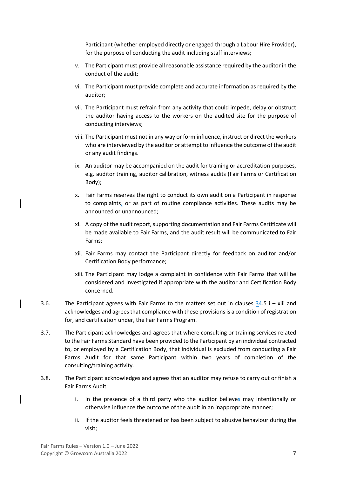Participant (whether employed directly or engaged through a Labour Hire Provider), for the purpose of conducting the audit including staff interviews;

- v. The Participant must provide all reasonable assistance required by the auditor in the conduct of the audit;
- vi. The Participant must provide complete and accurate information as required by the auditor;
- vii. The Participant must refrain from any activity that could impede, delay or obstruct the auditor having access to the workers on the audited site for the purpose of conducting interviews;
- viii. The Participant must not in any way or form influence, instruct or direct the workers who are interviewed by the auditor or attempt to influence the outcome of the audit or any audit findings.
- ix. An auditor may be accompanied on the audit for training or accreditation purposes, e.g. auditor training, auditor calibration, witness audits (Fair Farms or Certification Body);
- x. Fair Farms reserves the right to conduct its own audit on a Participant in response to complaints, or as part of routine compliance activities. These audits may be announced or unannounced;
- xi. A copy of the audit report, supporting documentation and Fair Farms Certificate will be made available to Fair Farms, and the audit result will be communicated to Fair Farms;
- xii. Fair Farms may contact the Participant directly for feedback on auditor and/or Certification Body performance;
- xiii. The Participant may lodge a complaint in confidence with Fair Farms that will be considered and investigated if appropriate with the auditor and Certification Body concerned.
- 3.6. The Participant agrees with Fair Farms to the matters set out in clauses  $34.5$  i xiii and acknowledges and agrees that compliance with these provisions is a condition of registration for, and certification under, the Fair Farms Program.
- 3.7. The Participant acknowledges and agrees that where consulting or training services related to the Fair Farms Standard have been provided to the Participant by an individual contracted to, or employed by a Certification Body, that individual is excluded from conducting a Fair Farms Audit for that same Participant within two years of completion of the consulting/training activity.
- 3.8. The Participant acknowledges and agrees that an auditor may refuse to carry out or finish a Fair Farms Audit:
	- i. In the presence of a third party who the auditor believes may intentionally or otherwise influence the outcome of the audit in an inappropriate manner;
	- ii. If the auditor feels threatened or has been subject to abusive behaviour during the visit;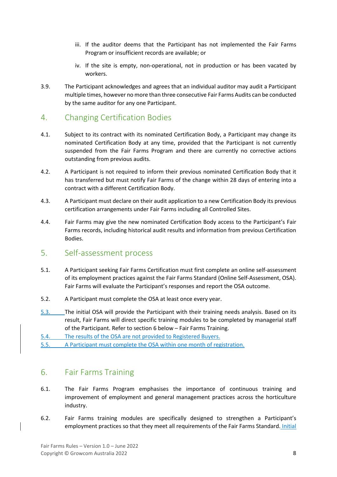- iii. If the auditor deems that the Participant has not implemented the Fair Farms Program or insufficient records are available; or
- iv. If the site is empty, non-operational, not in production or has been vacated by workers.
- 3.9. The Participant acknowledges and agrees that an individual auditor may audit a Participant multiple times, however no more than three consecutive Fair Farms Audits can be conducted by the same auditor for any one Participant.

## <span id="page-7-0"></span>4. Changing Certification Bodies

- 4.1. Subject to its contract with its nominated Certification Body, a Participant may change its nominated Certification Body at any time, provided that the Participant is not currently suspended from the Fair Farms Program and there are currently no corrective actions outstanding from previous audits.
- 4.2. A Participant is not required to inform their previous nominated Certification Body that it has transferred but must notify Fair Farms of the change within 28 days of entering into a contract with a different Certification Body.
- 4.3. A Participant must declare on their audit application to a new Certification Body its previous certification arrangements under Fair Farms including all Controlled Sites.
- 4.4. Fair Farms may give the new nominated Certification Body access to the Participant's Fair Farms records, including historical audit results and information from previous Certification Bodies.

#### <span id="page-7-1"></span>5. Self-assessment process

- 5.1. A Participant seeking Fair Farms Certification must first complete an online self-assessment of its employment practices against the Fair Farms Standard (Online Self-Assessment, OSA). Fair Farms will evaluate the Participant's responses and report the OSA outcome.
- 5.2. A Participant must complete the OSA at least once every year.
- 5.3. The initial OSA will provide the Participant with their training needs analysis. Based on its result, Fair Farms will direct specific training modules to be completed by managerial staff of the Participant. Refer to section 6 below – Fair Farms Training.
- 5.4. The results of the OSA are not provided to Registered Buyers.
- 5.5. A Participant must complete the OSA within one month of registration.

## <span id="page-7-2"></span>6. Fair Farms Training

- 6.1. The Fair Farms Program emphasises the importance of continuous training and improvement of employment and general management practices across the horticulture industry.
- 6.2. Fair Farms training modules are specifically designed to strengthen a Participant's employment practices so that they meet all requirements of the Fair Farms Standard. Initial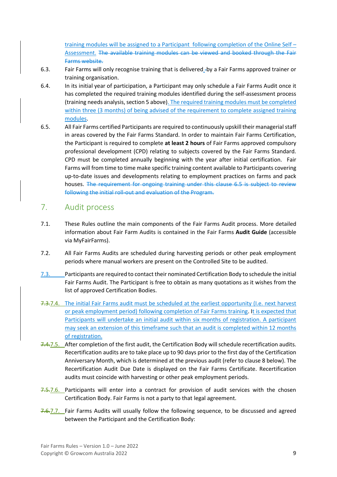training modules will be assigned to a Participant following completion of the Online Self – Assessment. The available training modules can be viewed and booked through the Fair Farms website.

- 6.3. Fair Farms will only recognise training that is delivered by a Fair Farms approved trainer or training organisation.
- 6.4. In its initial year of participation, a Participant may only schedule a Fair Farms Audit once it has completed the required training modules identified during the self-assessment process (training needs analysis, section 5 above). The required training modules must be completed within three (3 months) of being advised of the requirement to complete assigned training modules.
- 6.5. All Fair Farms certified Participants are required to continuously upskill their managerial staff in areas covered by the Fair Farms Standard. In order to maintain Fair Farms Certification, the Participant is required to complete **at least 2 hours** of Fair Farms approved compulsory professional development (CPD) relating to subjects covered by the Fair Farms Standard. CPD must be completed annually beginning with the year after initial certification. Fair Farms will from time to time make specific training content available to Participants covering up-to-date issues and developments relating to employment practices on farms and pack houses. The requirement for ongoing training under this clause 6.5 is subject to review following the initial roll-out and evaluation of the Program.

## <span id="page-8-0"></span>7. Audit process

- 7.1. These Rules outline the main components of the Fair Farms Audit process. More detailed information about Fair Farm Audits is contained in the Fair Farms **Audit Guide** (accessible via MyFairFarms).
- 7.2. All Fair Farms Audits are scheduled during harvesting periods or other peak employment periods where manual workers are present on the Controlled Site to be audited.
- 7.3. Participants are required to contact their nominated Certification Body to schedule the initial Fair Farms Audit. The Participant is free to obtain as many quotations as it wishes from the list of approved Certification Bodies.
- 7.3.7.4. The initial Fair Farms audit must be scheduled at the earliest opportunity (I.e. next harvest or peak employment period) following completion of Fair Farms training. It is expected that Participants will undertake an initial audit within six months of registration. A participant may seek an extension of this timeframe such that an audit is completed within 12 months of registration.
- 7.4.7.5. After completion of the first audit, the Certification Body will schedule recertification audits. Recertification audits are to take place up to 90 days prior to the first day of the Certification Anniversary Month, which is determined at the previous audit (refer to clause 8 below). The Recertification Audit Due Date is displayed on the Fair Farms Certificate. Recertification audits must coincide with harvesting or other peak employment periods.
- 7.5.7.6. Participants will enter into a contract for provision of audit services with the chosen Certification Body. Fair Farms is not a party to that legal agreement.
- 7.6.7.7. Fair Farms Audits will usually follow the following sequence, to be discussed and agreed between the Participant and the Certification Body: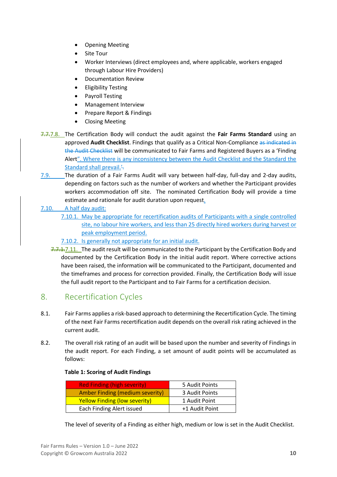- Opening Meeting
- Site Tour
- Worker Interviews (direct employees and, where applicable, workers engaged through Labour Hire Providers)
- Documentation Review
- Eligibility Testing
- Payroll Testing
- Management Interview
- Prepare Report & Findings
- Closing Meeting
- 7.7.7.8. The Certification Body will conduct the audit against the **Fair Farms Standard** using an approved **Audit Checklist**. Findings that qualify as a Critical Non-Compliance as indicated in the Audit Checklist will be communicated to Fair Farms and Registered Buyers as a 'Finding Alert". Where there is any inconsistency between the Audit Checklist and the Standard the Standard shall prevail.
- 7.9. The duration of a Fair Farms Audit will vary between half-day, full-day and 2-day audits, depending on factors such as the number of workers and whether the Participant provides workers accommodation off site. The nominated Certification Body will provide a time estimate and rationale for audit duration upon request.
- 7.10. A half day audit:
	- 7.10.1. May be appropriate for recertification audits of Participants with a single controlled site, no labour hire workers, and less than 25 directly hired workers during harvest or peak employment period.
	- 7.10.2. Is generally not appropriate for an initial audit.
	- 7.7.1.7.11. The audit result will be communicated to the Participant by the Certification Body and documented by the Certification Body in the initial audit report. Where corrective actions have been raised, the information will be communicated to the Participant, documented and the timeframes and process for correction provided. Finally, the Certification Body will issue the full audit report to the Participant and to Fair Farms for a certification decision.

## <span id="page-9-0"></span>8. Recertification Cycles

- 8.1. Fair Farms applies a risk-based approach to determining the Recertification Cycle. The timing of the next Fair Farms recertification audit depends on the overall risk rating achieved in the current audit.
- 8.2. The overall risk rating of an audit will be based upon the number and severity of Findings in the audit report. For each Finding, a set amount of audit points will be accumulated as follows:

#### **Table 1: Scoring of Audit Findings**

| <b>Red Finding (high severity)</b>   | 5 Audit Points |
|--------------------------------------|----------------|
| Amber Finding (medium severity)      | 3 Audit Points |
| <b>Yellow Finding (low severity)</b> | 1 Audit Point  |
| Each Finding Alert issued            | +1 Audit Point |

The level of severity of a Finding as either high, medium or low is set in the Audit Checklist.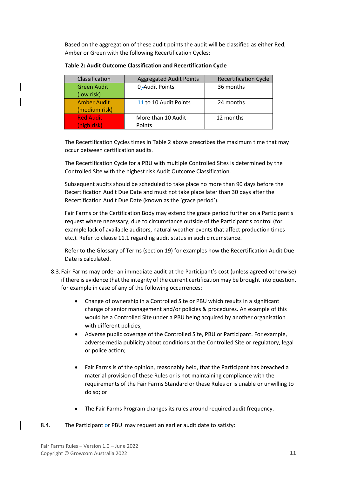Based on the aggregation of these audit points the audit will be classified as either Red, Amber or Green with the following Recertification Cycles:

| Classification     | <b>Aggregated Audit Points</b> | <b>Recertification Cycle</b> |
|--------------------|--------------------------------|------------------------------|
| <b>Green Audit</b> | 0-Audit Points                 | 36 months                    |
| (low risk)         |                                |                              |
| <b>Amber Audit</b> | 14 to 10 Audit Points          | 24 months                    |
| (medium risk)      |                                |                              |
| <b>Red Audit</b>   | More than 10 Audit             | 12 months                    |
| (high risk)        | Points                         |                              |

**Table 2: Audit Outcome Classification and Recertification Cycle**

The Recertification Cycles times in Table 2 above prescribes the maximum time that may occur between certification audits.

The Recertification Cycle for a PBU with multiple Controlled Sites is determined by the Controlled Site with the highest risk Audit Outcome Classification.

Subsequent audits should be scheduled to take place no more than 90 days before the Recertification Audit Due Date and must not take place later than 30 days after the Recertification Audit Due Date (known as the 'grace period').

Fair Farms or the Certification Body may extend the grace period further on a Participant's request where necessary, due to circumstance outside of the Participant's control (for example lack of available auditors, natural weather events that affect production times etc.). Refer to clause 11.1 regarding audit status in such circumstance.

Refer to the Glossary of Terms (section 19) for examples how the Recertification Audit Due Date is calculated.

- 8.3.Fair Farms may order an immediate audit at the Participant's cost (unless agreed otherwise) if there is evidence that the integrity of the current certification may be brought into question, for example in case of any of the following occurrences:
	- Change of ownership in a Controlled Site or PBU which results in a significant change of senior management and/or policies & procedures. An example of this would be a Controlled Site under a PBU being acquired by another organisation with different policies;
	- Adverse public coverage of the Controlled Site, PBU or Participant. For example, adverse media publicity about conditions at the Controlled Site or regulatory, legal or police action;
	- Fair Farms is of the opinion, reasonably held, that the Participant has breached a material provision of these Rules or is not maintaining compliance with the requirements of the Fair Farms Standard or these Rules or is unable or unwilling to do so; or
	- The Fair Farms Program changes its rules around required audit frequency.

#### 8.4. The Participant or PBU may request an earlier audit date to satisfy: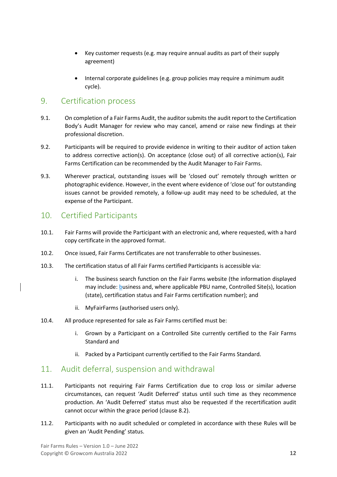- Key customer requests (e.g. may require annual audits as part of their supply agreement)
- Internal corporate guidelines (e.g. group policies may require a minimum audit cycle).

## <span id="page-11-0"></span>9. Certification process

- 9.1. On completion of a Fair Farms Audit, the auditor submits the audit report to the Certification Body's Audit Manager for review who may cancel, amend or raise new findings at their professional discretion.
- 9.2. Participants will be required to provide evidence in writing to their auditor of action taken to address corrective action(s). On acceptance (close out) of all corrective action(s), Fair Farms Certification can be recommended by the Audit Manager to Fair Farms.
- 9.3. Wherever practical, outstanding issues will be 'closed out' remotely through written or photographic evidence. However, in the event where evidence of 'close out' for outstanding issues cannot be provided remotely, a follow-up audit may need to be scheduled, at the expense of the Participant.

## <span id="page-11-1"></span>10. Certified Participants

- 10.1. Fair Farms will provide the Participant with an electronic and, where requested, with a hard copy certificate in the approved format.
- 10.2. Once issued, Fair Farms Certificates are not transferrable to other businesses.
- 10.3. The certification status of all Fair Farms certified Participants is accessible via:
	- i. The business search function on the Fair Farms website (the information displayed may include: business and, where applicable PBU name, Controlled Site(s), location (state), certification status and Fair Farms certification number); and
	- ii. MyFairFarms (authorised users only).
- 10.4. All produce represented for sale as Fair Farms certified must be:
	- i. Grown by a Participant on a Controlled Site currently certified to the Fair Farms Standard and
	- ii. Packed by a Participant currently certified to the Fair Farms Standard.

## <span id="page-11-2"></span>11. Audit deferral, suspension and withdrawal

- 11.1. Participants not requiring Fair Farms Certification due to crop loss or similar adverse circumstances, can request 'Audit Deferred' status until such time as they recommence production. An 'Audit Deferred' status must also be requested if the recertification audit cannot occur within the grace period (clause 8.2).
- 11.2. Participants with no audit scheduled or completed in accordance with these Rules will be given an 'Audit Pending' status.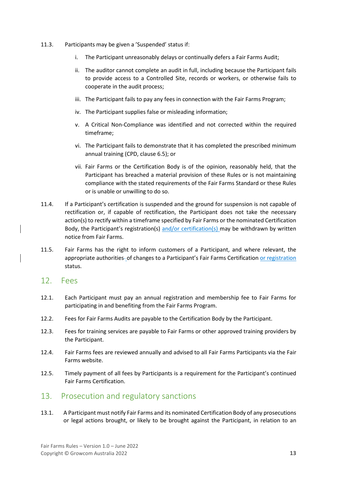- 11.3. Participants may be given a 'Suspended' status if:
	- i. The Participant unreasonably delays or continually defers a Fair Farms Audit;
	- ii. The auditor cannot complete an audit in full, including because the Participant fails to provide access to a Controlled Site, records or workers, or otherwise fails to cooperate in the audit process;
	- iii. The Participant fails to pay any fees in connection with the Fair Farms Program;
	- iv. The Participant supplies false or misleading information;
	- v. A Critical Non-Compliance was identified and not corrected within the required timeframe;
	- vi. The Participant fails to demonstrate that it has completed the prescribed minimum annual training (CPD, clause 6.5); or
	- vii. Fair Farms or the Certification Body is of the opinion, reasonably held, that the Participant has breached a material provision of these Rules or is not maintaining compliance with the stated requirements of the Fair Farms Standard or these Rules or is unable or unwilling to do so.
- 11.4. If a Participant's certification is suspended and the ground for suspension is not capable of rectification or, if capable of rectification, the Participant does not take the necessary action(s) to rectify within a timeframe specified by Fair Farms or the nominated Certification Body, the Participant's registration(s) and/or certification(s) may be withdrawn by written notice from Fair Farms.
- 11.5. Fair Farms has the right to inform customers of a Participant, and where relevant, the appropriate authorities- of changes to a Participant's Fair Farms Certification or registration status.

#### <span id="page-12-0"></span>12. Fees

- 12.1. Each Participant must pay an annual registration and membership fee to Fair Farms for participating in and benefiting from the Fair Farms Program.
- 12.2. Fees for Fair Farms Audits are payable to the Certification Body by the Participant.
- 12.3. Fees for training services are payable to Fair Farms or other approved training providers by the Participant.
- 12.4. Fair Farms fees are reviewed annually and advised to all Fair Farms Participants via the Fair Farms website.
- 12.5. Timely payment of all fees by Participants is a requirement for the Participant's continued Fair Farms Certification.

#### <span id="page-12-1"></span>13. Prosecution and regulatory sanctions

13.1. A Participant must notify Fair Farms and its nominated Certification Body of any prosecutions or legal actions brought, or likely to be brought against the Participant, in relation to an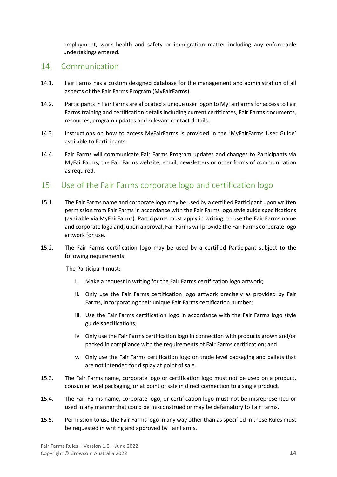employment, work health and safety or immigration matter including any enforceable undertakings entered.

#### <span id="page-13-0"></span>14. Communication

- 14.1. Fair Farms has a custom designed database for the management and administration of all aspects of the Fair Farms Program (MyFairFarms).
- 14.2. Participants in Fair Farms are allocated a unique user logon to MyFairFarmsfor access to Fair Farms training and certification details including current certificates, Fair Farms documents, resources, program updates and relevant contact details.
- 14.3. Instructions on how to access MyFairFarms is provided in the 'MyFairFarms User Guide' available to Participants.
- 14.4. Fair Farms will communicate Fair Farms Program updates and changes to Participants via MyFairFarms, the Fair Farms website, email, newsletters or other forms of communication as required.

## <span id="page-13-1"></span>15. Use of the Fair Farms corporate logo and certification logo

- 15.1. The Fair Farms name and corporate logo may be used by a certified Participant upon written permission from Fair Farms in accordance with the Fair Farms logo style guide specifications (available via MyFairFarms). Participants must apply in writing, to use the Fair Farms name and corporate logo and, upon approval, Fair Farms will provide the Fair Farms corporate logo artwork for use.
- 15.2. The Fair Farms certification logo may be used by a certified Participant subject to the following requirements.

The Participant must:

- i. Make a request in writing for the Fair Farms certification logo artwork;
- ii. Only use the Fair Farms certification logo artwork precisely as provided by Fair Farms, incorporating their unique Fair Farms certification number;
- iii. Use the Fair Farms certification logo in accordance with the Fair Farms logo style guide specifications;
- iv. Only use the Fair Farms certification logo in connection with products grown and/or packed in compliance with the requirements of Fair Farms certification; and
- v. Only use the Fair Farms certification logo on trade level packaging and pallets that are not intended for display at point of sale.
- 15.3. The Fair Farms name, corporate logo or certification logo must not be used on a product, consumer level packaging, or at point of sale in direct connection to a single product.
- 15.4. The Fair Farms name, corporate logo, or certification logo must not be misrepresented or used in any manner that could be misconstrued or may be defamatory to Fair Farms.
- 15.5. Permission to use the Fair Farms logo in any way other than as specified in these Rules must be requested in writing and approved by Fair Farms.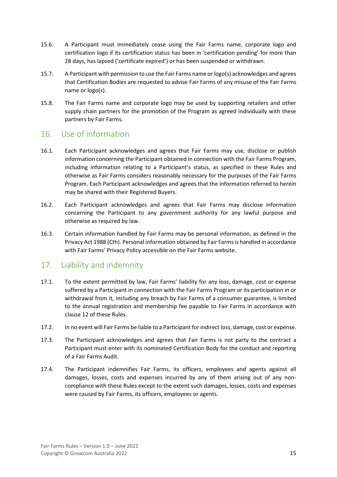- 15.6. A Participant must immediately cease using the Fair Farms name, corporate logo and certification logo if its certification status has been in 'certification pending' for more than 28 days, has lapsed ('certificate expired') or has been suspended or withdrawn.
- 15.7. A Participant with permission to use the Fair Farms name or logo(s) acknowledges and agrees that Certification Bodies are requested to advise Fair Farms of any misuse of the Fair Farms name or logo(s).
- 15.8. The Fair Farms name and corporate logo may be used by supporting retailers and other supply chain partners for the promotion of the Program as agreed individually with these partners by Fair Farms.

## <span id="page-14-0"></span>16. Use of information

- 16.1. Each Participant acknowledges and agrees that Fair Farms may use, disclose or publish information concerning the Participant obtained in connection with the Fair Farms Program, including information relating to a Participant's status, as specified in these Rules and otherwise as Fair Farms considers reasonably necessary for the purposes of the Fair Farms Program. Each Participant acknowledges and agrees that the information referred to herein may be shared with their Registered Buyers.
- 16.2. Each Participant acknowledges and agrees that Fair Farms may disclose information concerning the Participant to any government authority for any lawful purpose and otherwise as required by law.
- 16.3. Certain information handled by Fair Farms may be personal information, as defined in the Privacy Act 1988 (Cth). Personal information obtained by Fair Farmsis handled in accordance with Fair Farms' Privacy Policy accessible on the Fair Farms website.

## <span id="page-14-1"></span>17. Liability and indemnity

- 17.1. To the extent permitted by law, Fair Farms' liability for any loss, damage, cost or expense suffered by a Participant in connection with the Fair Farms Program or its participation in or withdrawal from it, including any breach by Fair Farms of a consumer guarantee, is limited to the annual registration and membership fee payable to Fair Farms in accordance with clause 12 of these Rules.
- 17.2. In no event will Fair Farms be liable to a Participant for indirect loss, damage, cost or expense.
- 17.3. The Participant acknowledges and agrees that Fair Farms is not party to the contract a Participant must enter with its nominated Certification Body for the conduct and reporting of a Fair Farms Audit.
- 17.4. The Participant indemnifies Fair Farms, its officers, employees and agents against all damages, losses, costs and expenses incurred by any of them arising out of any noncompliance with these Rules except to the extent such damages, losses, costs and expenses were caused by Fair Farms, its officers, employees or agents.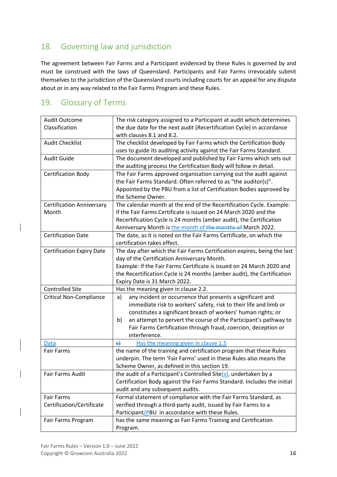## <span id="page-15-0"></span>18. Governing law and jurisdiction

The agreement between Fair Farms and a Participant evidenced by these Rules is governed by and must be construed with the laws of Queensland. Participants and Fair Farms irrevocably submit themselves to the jurisdiction of the Queensland courts including courts for an appeal for any dispute about or in any way related to the Fair Farms Program and these Rules.

## <span id="page-15-1"></span>19. Glossary of Terms

| <b>Audit Outcome</b>             | The risk category assigned to a Participant at audit which determines    |  |  |
|----------------------------------|--------------------------------------------------------------------------|--|--|
| Classification                   | the due date for the next audit (Recertification Cycle) in accordance    |  |  |
|                                  | with clauses 8.1 and 8.2.                                                |  |  |
| <b>Audit Checklist</b>           | The checklist developed by Fair Farms which the Certification Body       |  |  |
|                                  | uses to guide its auditing activity against the Fair Farms Standard.     |  |  |
| <b>Audit Guide</b>               | The document developed and published by Fair Farms which sets out        |  |  |
|                                  | the auditing process the Certification Body will follow in detail.       |  |  |
| <b>Certification Body</b>        | The Fair Farms approved organisation carrying out the audit against      |  |  |
|                                  | the Fair Farms Standard. Often referred to as "the auditor(s)".          |  |  |
|                                  | Appointed by the PBU from a list of Certification Bodies approved by     |  |  |
|                                  | the Scheme Owner.                                                        |  |  |
| <b>Certification Anniversary</b> | The calendar month at the end of the Recertification Cycle. Example:     |  |  |
| Month                            | if the Fair Farms Certificate is issued on 24 March 2020 and the         |  |  |
|                                  | Recertification Cycle is 24 months (amber audit), the Certification      |  |  |
|                                  | Anniversary Month is the month of the months of March 2022.              |  |  |
| <b>Certification Date</b>        | The date, as it is noted on the Fair Farms Certificate, on which the     |  |  |
|                                  | certification takes effect.                                              |  |  |
| <b>Certification Expiry Date</b> | The day after which the Fair Farms Certification expires, being the last |  |  |
|                                  | day of the Certification Anniversary Month.                              |  |  |
|                                  | Example: if the Fair Farms Certificate is issued on 24 March 2020 and    |  |  |
|                                  | the Recertification Cycle is 24 months (amber audit), the Certification  |  |  |
|                                  | Expiry Date is 31 March 2022.                                            |  |  |
| <b>Controlled Site</b>           | Has the meaning given in clause 2.2.                                     |  |  |
| <b>Critical Non-Compliance</b>   | any incident or occurrence that presents a significant and<br>a)         |  |  |
|                                  | immediate risk to workers' safety, risk to their life and limb or        |  |  |
|                                  | constitutes a significant breach of workers' human rights; or            |  |  |
|                                  | an attempt to pervert the course of the Participant's pathway to<br>b)   |  |  |
|                                  | Fair Farms Certification through fraud, coercion, deception or           |  |  |
|                                  | interference.                                                            |  |  |
| <b>Data</b>                      | $\epsilon$<br>Has the meaning given in clause 1.5                        |  |  |
| <b>Fair Farms</b>                | the name of the training and certification program that these Rules      |  |  |
|                                  | underpin. The term 'Fair Farms' used in these Rules also means the       |  |  |
|                                  | Scheme Owner, as defined in this section 19.                             |  |  |
| Fair Farms Audit                 | the audit of a Participant's Controlled Site $(s)$ , undertaken by a     |  |  |
|                                  | Certification Body against the Fair Farms Standard. Includes the initial |  |  |
|                                  | audit and any subsequent audits.                                         |  |  |
| <b>Fair Farms</b>                | Formal statement of compliance with the Fair Farms Standard, as          |  |  |
| Certification/Certificate        | verified through a third-party audit, issued by Fair Farms to a          |  |  |
|                                  | Participant/PBU in accordance with these Rules.                          |  |  |
| Fair Farms Program               | has the same meaning as Fair Farms Training and Certification            |  |  |
|                                  | Program.                                                                 |  |  |